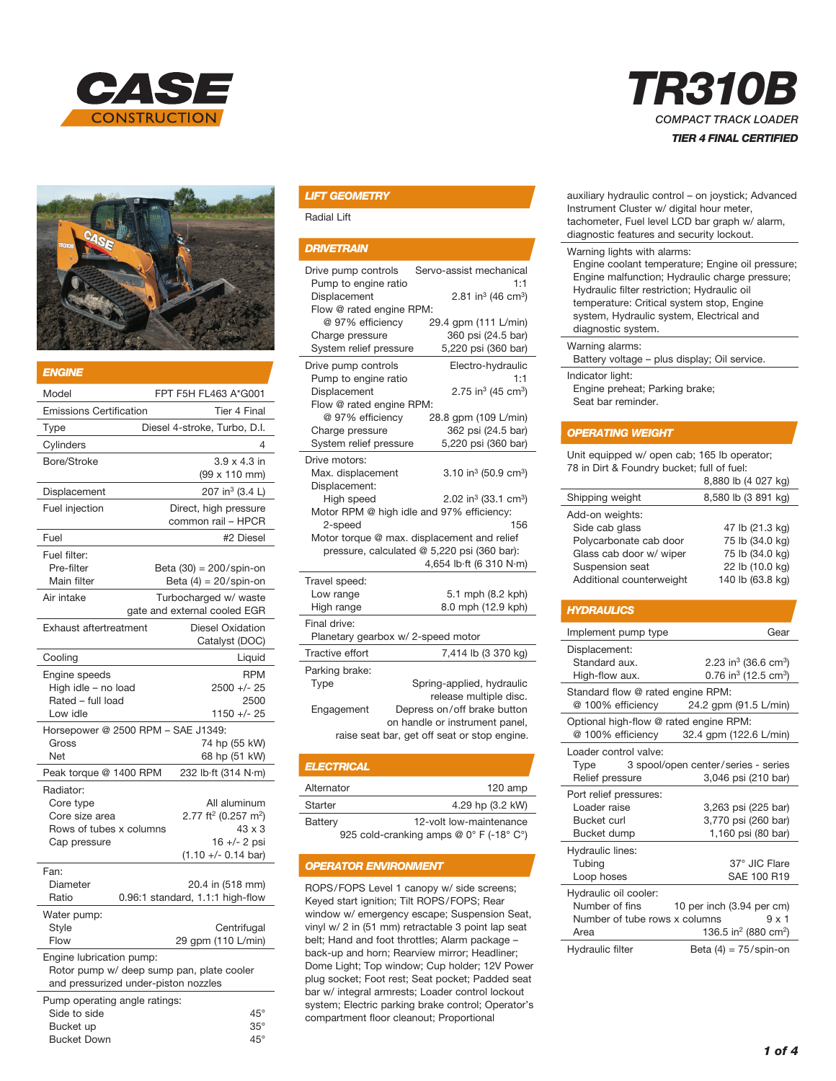



| ENGINE                                                                                                        |                                                                                                                   |  |
|---------------------------------------------------------------------------------------------------------------|-------------------------------------------------------------------------------------------------------------------|--|
| Model                                                                                                         | FPT F5H FL463 A*G001                                                                                              |  |
| <b>Emissions Certification</b>                                                                                | Tier 4 Final                                                                                                      |  |
| Type                                                                                                          | Diesel 4-stroke, Turbo, D.I.                                                                                      |  |
| Cylinders                                                                                                     | 4                                                                                                                 |  |
| Bore/Stroke                                                                                                   | $3.9 \times 4.3$ in<br>(99 x 110 mm)                                                                              |  |
| Displacement                                                                                                  | 207 in <sup>3</sup> (3.4 L)                                                                                       |  |
| Fuel injection                                                                                                | Direct, high pressure<br>common rail - HPCR                                                                       |  |
| Fuel                                                                                                          | #2 Diesel                                                                                                         |  |
| Fuel filter:<br>Pre-filter<br>Main filter                                                                     | Beta $(30) = 200$ /spin-on<br>Beta $(4) = 20$ /spin-on                                                            |  |
| Air intake                                                                                                    | Turbocharged w/ waste<br>gate and external cooled EGR                                                             |  |
| Exhaust aftertreatment                                                                                        | <b>Diesel Oxidation</b><br>Catalyst (DOC)                                                                         |  |
| Cooling                                                                                                       | Liquid                                                                                                            |  |
| Engine speeds<br>High idle - no load<br>Rated - full load<br>Low idle                                         | <b>RPM</b><br>$2500 +/- 25$<br>2500<br>1150 +/- 25                                                                |  |
| Horsepower @ 2500 RPM - SAE J1349:                                                                            |                                                                                                                   |  |
| Gross<br>Net                                                                                                  | 74 hp (55 kW)<br>68 hp (51 kW)                                                                                    |  |
| Peak torque @ 1400 RPM                                                                                        | 232 lb·ft (314 N·m)                                                                                               |  |
| Radiator:<br>Core type<br>Core size area<br>Rows of tubes x columns<br>Cap pressure                           | All aluminum<br>2.77 ft <sup>2</sup> (0.257 m <sup>2</sup> )<br>43 x 3<br>$16 +/- 2$ psi<br>$(1.10 +/- 0.14$ bar) |  |
| Fan:<br>Diameter<br>Ratio                                                                                     | 20.4 in (518 mm)<br>0.96:1 standard, 1.1:1 high-flow                                                              |  |
| Water pump:<br>Style<br>Flow                                                                                  | Centrifugal<br>29 gpm (110 L/min)                                                                                 |  |
| Engine lubrication pump:<br>Rotor pump w/ deep sump pan, plate cooler<br>and pressurized under-piston nozzles |                                                                                                                   |  |
| Pump operating angle ratings:<br>Side to side<br>Bucket up                                                    | $45^{\circ}$<br>$35^\circ$                                                                                        |  |

Bucket Down 45°

#### *LIFT GEOMETRY*

Radial Lift

#### *DRIVETRAIN*

| Drive pump controls<br>Pump to engine ratio<br>Displacement<br>Flow @ rated engine RPM:<br>@ 97% efficiency<br>Charge pressure<br>System relief pressure                                                                                                                                                                                                  | Servo-assist mechanical<br>1:1<br>2.81 in <sup>3</sup> (46 cm <sup>3</sup> )<br>29.4 gpm (111 L/min)<br>360 psi (24.5 bar)<br>5,220 psi (360 bar)                    |  |  |
|-----------------------------------------------------------------------------------------------------------------------------------------------------------------------------------------------------------------------------------------------------------------------------------------------------------------------------------------------------------|----------------------------------------------------------------------------------------------------------------------------------------------------------------------|--|--|
| Drive pump controls<br>Pump to engine ratio<br>Displacement<br>Flow @ rated engine RPM:<br>@ 97% efficiency<br>Charge pressure<br>System relief pressure                                                                                                                                                                                                  | Electro-hydraulic<br>1:1<br>2.75 in <sup>3</sup> (45 cm <sup>3</sup> )<br>28.8 gpm (109 L/min)<br>362 psi (24.5 bar)<br>5,220 psi (360 bar)                          |  |  |
| Drive motors:<br>3.10 in <sup>3</sup> (50.9 cm <sup>3</sup> )<br>Max. displacement<br>Displacement:<br>High speed<br>2.02 in <sup>3</sup> (33.1 cm <sup>3</sup> )<br>Motor RPM @ high idle and 97% efficiency:<br>2-speed<br>156<br>Motor torque @ max. displacement and relief<br>pressure, calculated @ 5,220 psi (360 bar):<br>4,654 lb·ft (6 310 N·m) |                                                                                                                                                                      |  |  |
| Travel speed:<br>Low range<br>High range                                                                                                                                                                                                                                                                                                                  | 5.1 mph (8.2 kph)<br>8.0 mph (12.9 kph)                                                                                                                              |  |  |
| Final drive:<br>Planetary gearbox w/ 2-speed motor                                                                                                                                                                                                                                                                                                        |                                                                                                                                                                      |  |  |
| Tractive effort                                                                                                                                                                                                                                                                                                                                           | 7,414 lb (3 370 kg)                                                                                                                                                  |  |  |
| Parking brake:<br>Type<br>Engagement                                                                                                                                                                                                                                                                                                                      | Spring-applied, hydraulic<br>release multiple disc.<br>Depress on/off brake button<br>on handle or instrument panel,<br>raise seat bar, get off seat or stop engine. |  |  |

| <b>ELECTRICAL</b>                       |                         |  |
|-----------------------------------------|-------------------------|--|
| Alternator                              | $120$ amp               |  |
| Starter                                 | 4.29 hp (3.2 kW)        |  |
| Battery                                 | 12-volt low-maintenance |  |
| 925 cold-cranking amps @ 0° F (-18° C°) |                         |  |

*OPERATOR ENVIRONMENT*

ROPS/FOPS Level 1 canopy w/ side screens; Keyed start ignition; Tilt ROPS/FOPS; Rear window w/ emergency escape; Suspension Seat, vinyl w/ 2 in (51 mm) retractable 3 point lap seat belt; Hand and foot throttles; Alarm package – back-up and horn; Rearview mirror; Headliner; Dome Light; Top window; Cup holder; 12V Power plug socket; Foot rest; Seat pocket; Padded seat bar w/ integral armrests; Loader control lockout system; Electric parking brake control; Operator's compartment floor cleanout; Proportional

# *TR310B COMPACT TRACK LOADER TIER 4 FINAL CERTIFIED*

| auxiliary hydraulic control - on joystick; Advanced |
|-----------------------------------------------------|
| Instrument Cluster w/ digital hour meter,           |
| tachometer, Fuel level LCD bar graph w/ alarm,      |
| diagnostic features and security lockout.           |
| Warning lights with alarms:                         |
| Engine coolent temperature: Engine oil preseure:    |

Engine coolant temperature; Engine oil pressure; Engine malfunction; Hydraulic charge pressure; Hydraulic filter restriction; Hydraulic oil temperature: Critical system stop, Engine system, Hydraulic system, Electrical and diagnostic system.

#### Warning alarms:

Battery voltage – plus display; Oil service. Indicator light: Engine preheat; Parking brake;

Seat bar reminder.

#### *OPERATING WEIGHT*

Unit equipped w/ open cab; 165 lb operator; 78 in Dirt & Foundry bucket; full of fuel:

|                          | 8,880 lb (4 027 kg) |
|--------------------------|---------------------|
| Shipping weight          | 8,580 lb (3 891 kg) |
| Add-on weights:          |                     |
| Side cab glass           | 47 lb (21.3 kg)     |
| Polycarbonate cab door   | 75 lb (34.0 kg)     |
| Glass cab door w/ wiper  | 75 lb (34.0 kg)     |
| Suspension seat          | 22 lb (10.0 kg)     |
| Additional counterweight | 140 lb (63.8 kg)    |

#### *HYDRAULICS*

| Implement pump type                                                              | Gear                                                                                         |
|----------------------------------------------------------------------------------|----------------------------------------------------------------------------------------------|
| Displacement:<br>Standard aux.<br>High-flow aux.                                 | 2.23 in <sup>3</sup> (36.6 cm <sup>3</sup> )<br>0.76 in <sup>3</sup> (12.5 cm <sup>3</sup> ) |
| Standard flow @ rated engine RPM:<br>@ 100% efficiency                           | 24.2 gpm (91.5 L/min)                                                                        |
| Optional high-flow @ rated engine RPM:<br>@ 100% efficiency                      | 32.4 gpm (122.6 L/min)                                                                       |
| Loader control valve:<br>Relief pressure                                         | Type 3 spool/open center/series - series<br>3,046 psi (210 bar)                              |
| Port relief pressures:<br>Loader raise<br><b>Bucket curl</b><br>Bucket dump      | 3,263 psi (225 bar)<br>3,770 psi (260 bar)<br>1,160 psi (80 bar)                             |
| Hydraulic lines:<br>Tubing<br>Loop hoses                                         | 37° JIC Flare<br>SAE 100 R19                                                                 |
| Hydraulic oil cooler:<br>Number of fins<br>Number of tube rows x columns<br>Area | 10 per inch (3.94 per cm)<br>$9 \times 1$<br>136.5 in <sup>2</sup> (880 cm <sup>2</sup> )    |
| Hydraulic filter                                                                 | Beta $(4) = 75$ /spin-on                                                                     |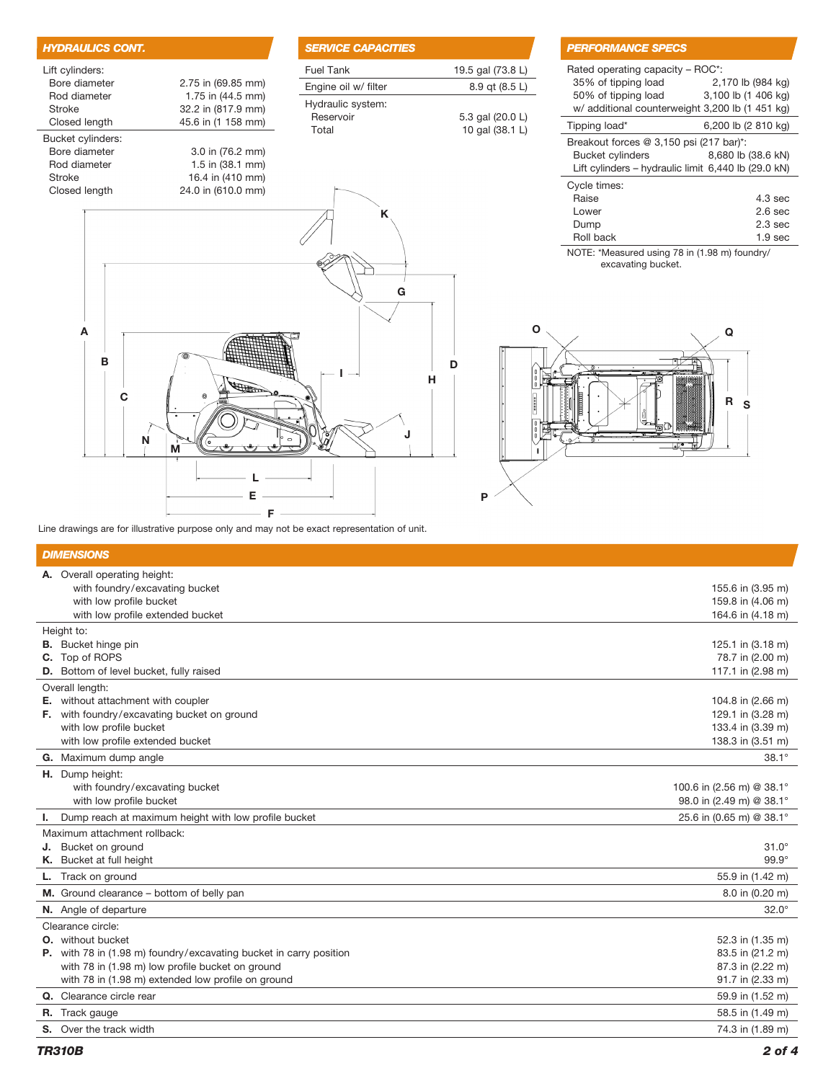| <b>PERFO</b>                 |
|------------------------------|
| 19.5 gal (73.8 L)<br>Rated o |
| 35% c<br>8.9 qt (8.5 L)      |
| 50% o                        |
| w/ add<br>5.3 gal (20.0 L)   |
| Tipping<br>10 gal (38.1 L)   |
| <b>Breako</b>                |
| <b>Bucke</b><br>Lift cy      |
|                              |
| Cycle ti<br>Raise            |
| Lower                        |
| Dump                         |
| Roll b                       |
| NOTE: *                      |
|                              |
|                              |
|                              |
|                              |
| O                            |
|                              |
|                              |
|                              |
|                              |
| 00000                        |
|                              |
|                              |
|                              |
|                              |
|                              |
|                              |

## **RMANCE SPECS**

| Rated operating capacity – ROC*:<br>35% of tipping load | 2,170 lb (984 kg)   |  |
|---------------------------------------------------------|---------------------|--|
| 50% of tipping load                                     | 3,100 lb (1 406 kg) |  |
| w/ additional counterweight 3,200 lb (1 451 kg)         |                     |  |
| Tipping load*                                           | 6,200 lb (2 810 kg) |  |
| Breakout forces $@3,150$ psi (217 bar)*:                |                     |  |
| <b>Bucket cylinders</b>                                 | 8,680 lb (38.6 kN)  |  |
| Lift cylinders – hydraulic limit 6,440 lb (29.0 kN)     |                     |  |
| Cycle times:                                            |                     |  |
| Raise                                                   | $4.3 \text{ sec}$   |  |
| Lower                                                   | 2.6 <sub>sec</sub>  |  |
| Dump                                                    | 2.3 <sub>sec</sub>  |  |
| Roll back                                               | 1.9 sec             |  |

NOTE: \*Measured using 78 in (1.98 m) foundry/ excavating bucket.



Line drawings are for illustrative purpose only and may not be exact representation of unit.

 $-$  F

 $E =$ 

## *DIMENSIONS*

| A. Overall operating height:                                              |                           |
|---------------------------------------------------------------------------|---------------------------|
| with foundry/excavating bucket                                            | 155.6 in (3.95 m)         |
| with low profile bucket                                                   | 159.8 in (4.06 m)         |
| with low profile extended bucket                                          | 164.6 in (4.18 m)         |
| Height to:                                                                |                           |
| <b>B.</b> Bucket hinge pin                                                | 125.1 in (3.18 m)         |
| C. Top of ROPS                                                            | 78.7 in (2.00 m)          |
| <b>D.</b> Bottom of level bucket, fully raised                            | 117.1 in (2.98 m)         |
| Overall length:                                                           |                           |
| E. without attachment with coupler                                        | 104.8 in (2.66 m)         |
| F. with foundry/excavating bucket on ground                               | 129.1 in (3.28 m)         |
| with low profile bucket                                                   | 133.4 in (3.39 m)         |
| with low profile extended bucket                                          | 138.3 in (3.51 m)         |
| G. Maximum dump angle                                                     | $38.1^\circ$              |
| H. Dump height:                                                           |                           |
| with foundry/excavating bucket                                            | 100.6 in (2.56 m) @ 38.1° |
| with low profile bucket                                                   | 98.0 in (2.49 m) @ 38.1°  |
| I. Dump reach at maximum height with low profile bucket                   | 25.6 in (0.65 m) @ 38.1°  |
| Maximum attachment rollback:                                              |                           |
| J. Bucket on ground                                                       | $31.0^\circ$              |
| K. Bucket at full height                                                  | $99.9^\circ$              |
| L. Track on ground                                                        | 55.9 in (1.42 m)          |
| M. Ground clearance - bottom of belly pan                                 | 8.0 in (0.20 m)           |
| N. Angle of departure                                                     | $32.0^\circ$              |
| Clearance circle:                                                         |                           |
| <b>O.</b> without bucket                                                  | 52.3 in (1.35 m)          |
| <b>P.</b> with 78 in (1.98 m) foundry/excavating bucket in carry position | 83.5 in (21.2 m)          |
| with 78 in (1.98 m) low profile bucket on ground                          | 87.3 in (2.22 m)          |
| with 78 in (1.98 m) extended low profile on ground                        | 91.7 in (2.33 m)          |
| Q. Clearance circle rear                                                  | 59.9 in (1.52 m)          |
| <b>R.</b> Track gauge                                                     | 58.5 in (1.49 m)          |
| <b>S.</b> Over the track width                                            | 74.3 in (1.89 m)          |
|                                                                           |                           |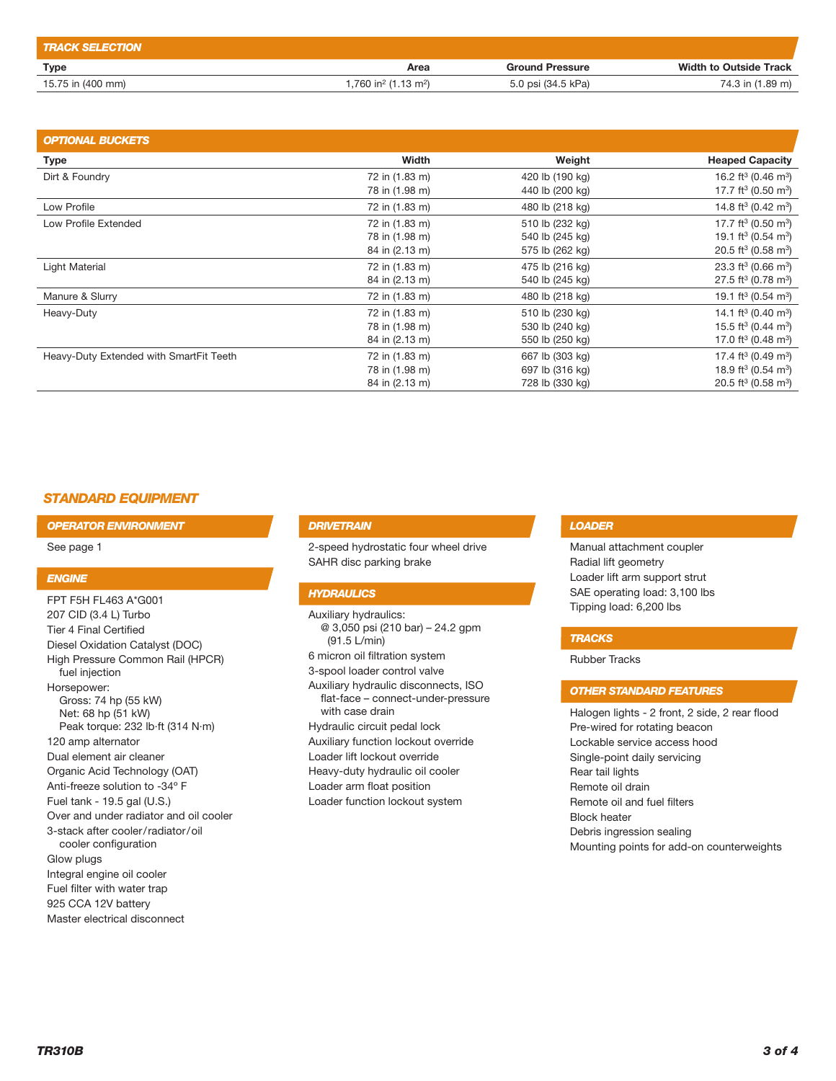| <b>TRACK SELECTION</b> |                                                |                        |                               |
|------------------------|------------------------------------------------|------------------------|-------------------------------|
| Type                   | Area                                           | <b>Ground Pressure</b> | <b>Width to Outside Track</b> |
| 15.75 in (400 mm)      | $1.760$ in <sup>2</sup> (1.13 m <sup>2</sup> ) | 5.0 psi (34.5 kPa)     | 74.3 in (1.89 m)              |

| <b>OPTIONAL BUCKETS</b>                 |                |                 |                                             |
|-----------------------------------------|----------------|-----------------|---------------------------------------------|
| <b>Type</b>                             | Width          | Weight          | <b>Heaped Capacity</b>                      |
| Dirt & Foundry                          | 72 in (1.83 m) | 420 lb (190 kg) | 16.2 ft <sup>3</sup> (0.46 m <sup>3</sup> ) |
|                                         | 78 in (1.98 m) | 440 lb (200 kg) | 17.7 ft <sup>3</sup> (0.50 m <sup>3</sup> ) |
| Low Profile                             | 72 in (1.83 m) | 480 lb (218 kg) | 14.8 ft <sup>3</sup> (0.42 m <sup>3</sup> ) |
| Low Profile Extended                    | 72 in (1.83 m) | 510 lb (232 kg) | 17.7 ft <sup>3</sup> (0.50 m <sup>3</sup> ) |
|                                         | 78 in (1.98 m) | 540 lb (245 kg) | 19.1 ft <sup>3</sup> (0.54 m <sup>3</sup> ) |
|                                         | 84 in (2.13 m) | 575 lb (262 kg) | 20.5 ft <sup>3</sup> (0.58 m <sup>3</sup> ) |
| Light Material                          | 72 in (1.83 m) | 475 lb (216 kg) | 23.3 ft <sup>3</sup> (0.66 m <sup>3</sup> ) |
|                                         | 84 in (2.13 m) | 540 lb (245 kg) | 27.5 ft <sup>3</sup> (0.78 m <sup>3</sup> ) |
| Manure & Slurry                         | 72 in (1.83 m) | 480 lb (218 kg) | 19.1 ft <sup>3</sup> (0.54 m <sup>3</sup> ) |
| Heavy-Duty                              | 72 in (1.83 m) | 510 lb (230 kg) | 14.1 ft <sup>3</sup> (0.40 m <sup>3</sup> ) |
|                                         | 78 in (1.98 m) | 530 lb (240 kg) | 15.5 ft <sup>3</sup> (0.44 m <sup>3</sup> ) |
|                                         | 84 in (2.13 m) | 550 lb (250 kg) | 17.0 ft <sup>3</sup> (0.48 m <sup>3</sup> ) |
| Heavy-Duty Extended with SmartFit Teeth | 72 in (1.83 m) | 667 lb (303 kg) | 17.4 ft <sup>3</sup> (0.49 m <sup>3</sup> ) |
|                                         | 78 in (1.98 m) | 697 lb (316 kg) | 18.9 ft <sup>3</sup> (0.54 m <sup>3</sup> ) |
|                                         | 84 in (2.13 m) | 728 lb (330 kg) | 20.5 ft <sup>3</sup> (0.58 m <sup>3</sup> ) |

## *STANDARD EQUIPMENT*

*OPERATOR ENVIRONMENT*

See page 1

#### *ENGINE*

FPT F5H FL463 A\*G001 207 CID (3.4 L) Turbo Tier 4 Final Certified Diesel Oxidation Catalyst (DOC) High Pressure Common Rail (HPCR) fuel injection Horsepower: Gross: 74 hp (55 kW) Net: 68 hp (51 kW) Peak torque: 232 lb·ft (314 N·m) 120 amp alternator Dual element air cleaner Organic Acid Technology (OAT) Anti-freeze solution to -34º F Fuel tank - 19.5 gal (U.S.) Over and under radiator and oil cooler 3-stack after cooler/radiator/oil cooler configuration Glow plugs Integral engine oil cooler Fuel filter with water trap 925 CCA 12V battery

Master electrical disconnect

#### *DRIVETRAIN*

2-speed hydrostatic four wheel drive SAHR disc parking brake

## *HYDRAULICS*

Auxiliary hydraulics: @ 3,050 psi (210 bar) – 24.2 gpm (91.5 L/min) 6 micron oil filtration system 3-spool loader control valve Auxiliary hydraulic disconnects, ISO flat-face – connect-under-pressure with case drain Hydraulic circuit pedal lock Auxiliary function lockout override Loader lift lockout override Heavy-duty hydraulic oil cooler Loader arm float position Loader function lockout system

## *LOADER*

Manual attachment coupler Radial lift geometry Loader lift arm support strut SAE operating load: 3,100 lbs Tipping load: 6,200 lbs

## *TRACKS*

Rubber Tracks

## *OTHER STANDARD FEATURES*

Halogen lights - 2 front, 2 side, 2 rear flood Pre-wired for rotating beacon Lockable service access hood Single-point daily servicing Rear tail lights Remote oil drain Remote oil and fuel filters Block heater Debris ingression sealing Mounting points for add-on counterweights